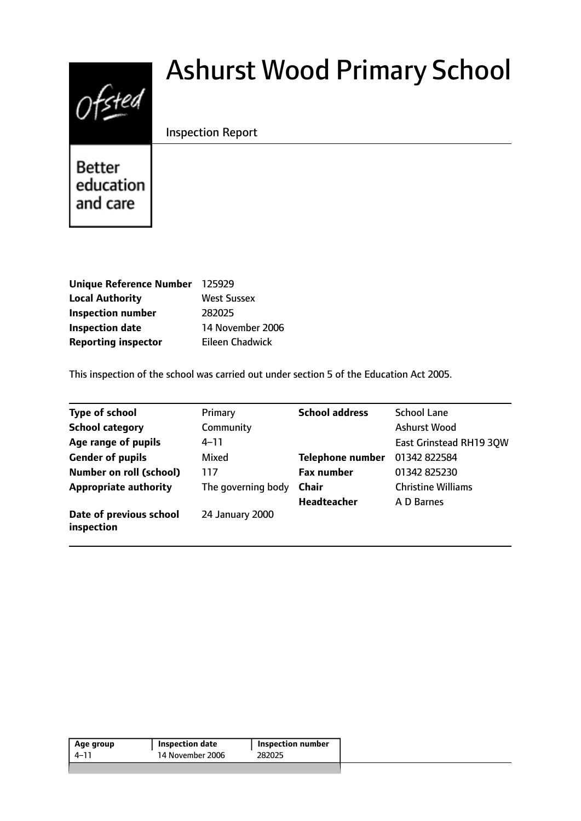# $0$ fsted

# Ashurst Wood Primary School

Inspection Report

**Better** education and care

| Unique Reference Number 125929 |                    |
|--------------------------------|--------------------|
| <b>Local Authority</b>         | <b>West Sussex</b> |
| <b>Inspection number</b>       | 282025             |
| <b>Inspection date</b>         | 14 November 2006   |
| <b>Reporting inspector</b>     | Eileen Chadwick    |

This inspection of the school was carried out under section 5 of the Education Act 2005.

| <b>Type of school</b>                 | Primary            | <b>School address</b>   | <b>School Lane</b>        |
|---------------------------------------|--------------------|-------------------------|---------------------------|
| <b>School category</b>                | Community          |                         | Ashurst Wood              |
| Age range of pupils                   | $4 - 11$           |                         | East Grinstead RH19 30W   |
| <b>Gender of pupils</b>               | Mixed              | <b>Telephone number</b> | 01342 822584              |
| <b>Number on roll (school)</b>        | 117                | <b>Fax number</b>       | 01342 825230              |
| <b>Appropriate authority</b>          | The governing body | <b>Chair</b>            | <b>Christine Williams</b> |
|                                       |                    | <b>Headteacher</b>      | A D Barnes                |
| Date of previous school<br>inspection | 24 January 2000    |                         |                           |

| 14 November 2006<br>282025<br>4–11 | <b>Inspection number</b> |
|------------------------------------|--------------------------|
|                                    |                          |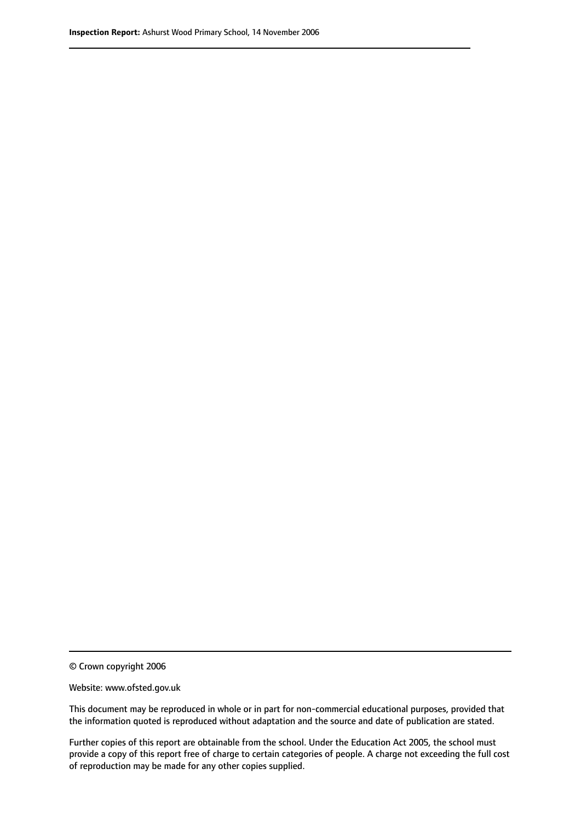© Crown copyright 2006

Website: www.ofsted.gov.uk

This document may be reproduced in whole or in part for non-commercial educational purposes, provided that the information quoted is reproduced without adaptation and the source and date of publication are stated.

Further copies of this report are obtainable from the school. Under the Education Act 2005, the school must provide a copy of this report free of charge to certain categories of people. A charge not exceeding the full cost of reproduction may be made for any other copies supplied.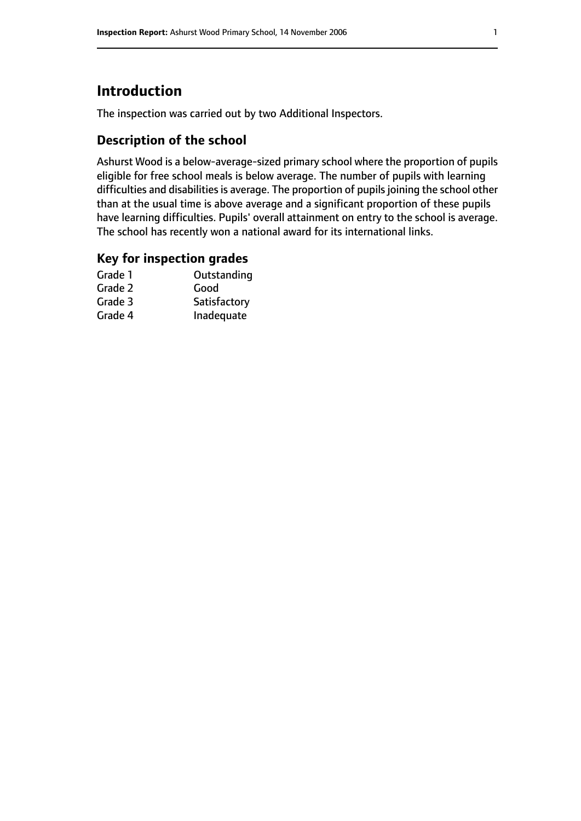# **Introduction**

The inspection was carried out by two Additional Inspectors.

## **Description of the school**

Ashurst Wood is a below-average-sized primary school where the proportion of pupils eligible for free school meals is below average. The number of pupils with learning difficulties and disabilities is average. The proportion of pupils joining the school other than at the usual time is above average and a significant proportion of these pupils have learning difficulties. Pupils' overall attainment on entry to the school is average. The school has recently won a national award for its international links.

#### **Key for inspection grades**

| Grade 1 | Outstanding  |
|---------|--------------|
| Grade 2 | Good         |
| Grade 3 | Satisfactory |
| Grade 4 | Inadequate   |
|         |              |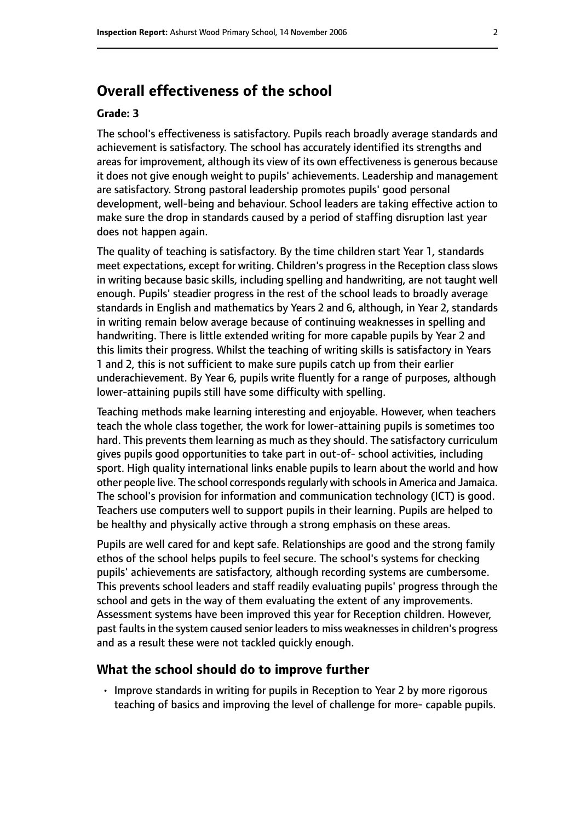# **Overall effectiveness of the school**

#### **Grade: 3**

The school's effectiveness is satisfactory. Pupils reach broadly average standards and achievement is satisfactory. The school has accurately identified its strengths and areas for improvement, although its view of its own effectiveness is generous because it does not give enough weight to pupils' achievements. Leadership and management are satisfactory. Strong pastoral leadership promotes pupils' good personal development, well-being and behaviour. School leaders are taking effective action to make sure the drop in standards caused by a period of staffing disruption last year does not happen again.

The quality of teaching is satisfactory. By the time children start Year 1, standards meet expectations, except for writing. Children's progress in the Reception class slows in writing because basic skills, including spelling and handwriting, are not taught well enough. Pupils' steadier progress in the rest of the school leads to broadly average standards in English and mathematics by Years 2 and 6, although, in Year 2, standards in writing remain below average because of continuing weaknesses in spelling and handwriting. There is little extended writing for more capable pupils by Year 2 and this limits their progress. Whilst the teaching of writing skills is satisfactory in Years 1 and 2, this is not sufficient to make sure pupils catch up from their earlier underachievement. By Year 6, pupils write fluently for a range of purposes, although lower-attaining pupils still have some difficulty with spelling.

Teaching methods make learning interesting and enjoyable. However, when teachers teach the whole class together, the work for lower-attaining pupils is sometimes too hard. This prevents them learning as much as they should. The satisfactory curriculum gives pupils good opportunities to take part in out-of- school activities, including sport. High quality international links enable pupils to learn about the world and how other people live. The school corresponds regularly with schools in America and Jamaica. The school's provision for information and communication technology (ICT) is good. Teachers use computers well to support pupils in their learning. Pupils are helped to be healthy and physically active through a strong emphasis on these areas.

Pupils are well cared for and kept safe. Relationships are good and the strong family ethos of the school helps pupils to feel secure. The school's systems for checking pupils' achievements are satisfactory, although recording systems are cumbersome. This prevents school leaders and staff readily evaluating pupils' progress through the school and gets in the way of them evaluating the extent of any improvements. Assessment systems have been improved this year for Reception children. However, past faults in the system caused senior leaders to miss weaknesses in children's progress and as a result these were not tackled quickly enough.

#### **What the school should do to improve further**

• Improve standards in writing for pupils in Reception to Year 2 by more rigorous teaching of basics and improving the level of challenge for more- capable pupils.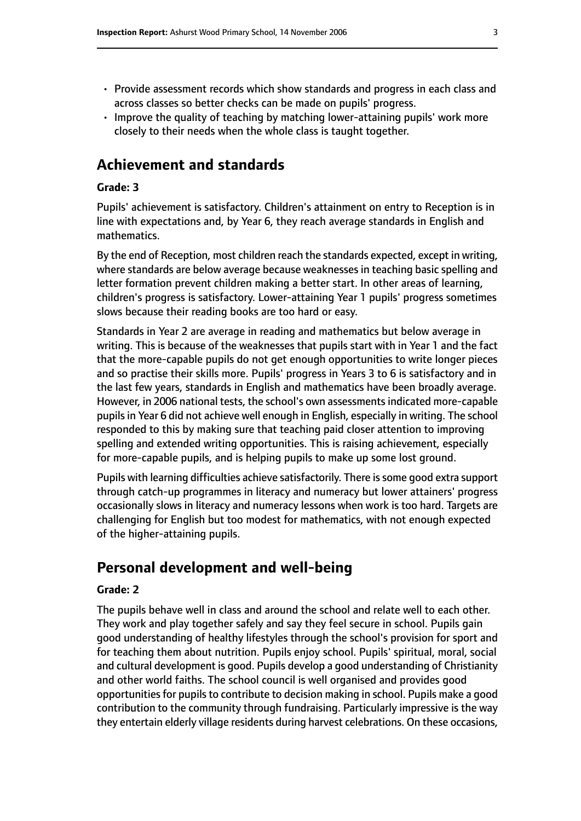- Provide assessment records which show standards and progress in each class and across classes so better checks can be made on pupils' progress.
- Improve the quality of teaching by matching lower-attaining pupils' work more closely to their needs when the whole class is taught together.

# **Achievement and standards**

#### **Grade: 3**

Pupils' achievement is satisfactory. Children's attainment on entry to Reception is in line with expectations and, by Year 6, they reach average standards in English and mathematics.

By the end of Reception, most children reach the standards expected, except in writing, where standards are below average because weaknesses in teaching basic spelling and letter formation prevent children making a better start. In other areas of learning, children's progress is satisfactory. Lower-attaining Year 1 pupils' progress sometimes slows because their reading books are too hard or easy.

Standards in Year 2 are average in reading and mathematics but below average in writing. This is because of the weaknesses that pupils start with in Year 1 and the fact that the more-capable pupils do not get enough opportunities to write longer pieces and so practise their skills more. Pupils' progress in Years 3 to 6 is satisfactory and in the last few years, standards in English and mathematics have been broadly average. However, in 2006 national tests, the school's own assessments indicated more-capable pupils in Year 6 did not achieve well enough in English, especially in writing. The school responded to this by making sure that teaching paid closer attention to improving spelling and extended writing opportunities. This is raising achievement, especially for more-capable pupils, and is helping pupils to make up some lost ground.

Pupils with learning difficulties achieve satisfactorily. There is some good extra support through catch-up programmes in literacy and numeracy but lower attainers' progress occasionally slows in literacy and numeracy lessons when work is too hard. Targets are challenging for English but too modest for mathematics, with not enough expected of the higher-attaining pupils.

# **Personal development and well-being**

#### **Grade: 2**

The pupils behave well in class and around the school and relate well to each other. They work and play together safely and say they feel secure in school. Pupils gain good understanding of healthy lifestyles through the school's provision for sport and for teaching them about nutrition. Pupils enjoy school. Pupils' spiritual, moral, social and cultural development is good. Pupils develop a good understanding of Christianity and other world faiths. The school council is well organised and provides good opportunities for pupils to contribute to decision making in school. Pupils make a good contribution to the community through fundraising. Particularly impressive is the way they entertain elderly village residents during harvest celebrations. On these occasions,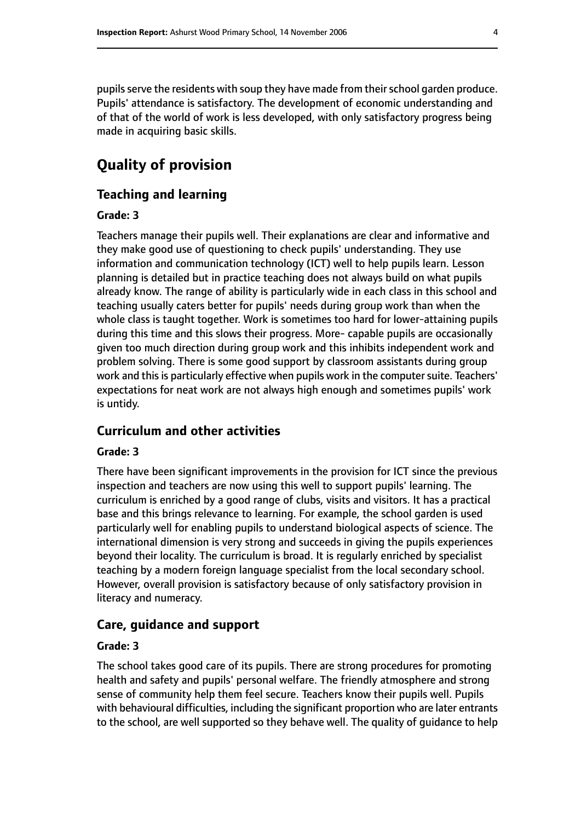pupils serve the residents with soup they have made from their school garden produce. Pupils' attendance is satisfactory. The development of economic understanding and of that of the world of work is less developed, with only satisfactory progress being made in acquiring basic skills.

# **Quality of provision**

#### **Teaching and learning**

#### **Grade: 3**

Teachers manage their pupils well. Their explanations are clear and informative and they make good use of questioning to check pupils' understanding. They use information and communication technology (ICT) well to help pupils learn. Lesson planning is detailed but in practice teaching does not always build on what pupils already know. The range of ability is particularly wide in each class in this school and teaching usually caters better for pupils' needs during group work than when the whole class is taught together. Work is sometimes too hard for lower-attaining pupils during this time and this slows their progress. More- capable pupils are occasionally given too much direction during group work and this inhibits independent work and problem solving. There is some good support by classroom assistants during group work and this is particularly effective when pupils work in the computer suite. Teachers' expectations for neat work are not always high enough and sometimes pupils' work is untidy.

#### **Curriculum and other activities**

#### **Grade: 3**

There have been significant improvements in the provision for ICT since the previous inspection and teachers are now using this well to support pupils' learning. The curriculum is enriched by a good range of clubs, visits and visitors. It has a practical base and this brings relevance to learning. For example, the school garden is used particularly well for enabling pupils to understand biological aspects of science. The international dimension is very strong and succeeds in giving the pupils experiences beyond their locality. The curriculum is broad. It is regularly enriched by specialist teaching by a modern foreign language specialist from the local secondary school. However, overall provision is satisfactory because of only satisfactory provision in literacy and numeracy.

#### **Care, guidance and support**

#### **Grade: 3**

The school takes good care of its pupils. There are strong procedures for promoting health and safety and pupils' personal welfare. The friendly atmosphere and strong sense of community help them feel secure. Teachers know their pupils well. Pupils with behavioural difficulties, including the significant proportion who are later entrants to the school, are well supported so they behave well. The quality of guidance to help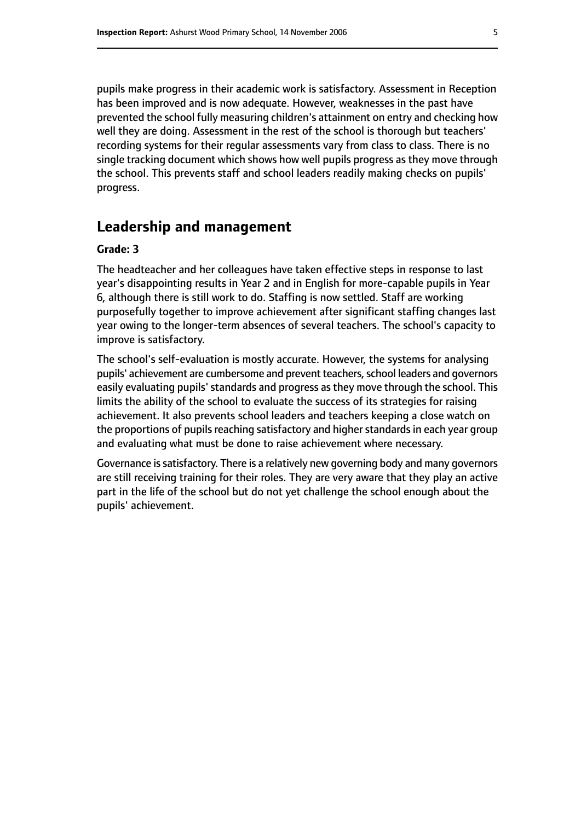pupils make progress in their academic work is satisfactory. Assessment in Reception has been improved and is now adequate. However, weaknesses in the past have prevented the school fully measuring children's attainment on entry and checking how well they are doing. Assessment in the rest of the school is thorough but teachers' recording systems for their regular assessments vary from class to class. There is no single tracking document which shows how well pupils progress as they move through the school. This prevents staff and school leaders readily making checks on pupils' progress.

#### **Leadership and management**

#### **Grade: 3**

The headteacher and her colleagues have taken effective steps in response to last year's disappointing results in Year 2 and in English for more-capable pupils in Year 6, although there is still work to do. Staffing is now settled. Staff are working purposefully together to improve achievement after significant staffing changes last year owing to the longer-term absences of several teachers. The school's capacity to improve is satisfactory.

The school's self-evaluation is mostly accurate. However, the systems for analysing pupils' achievement are cumbersome and prevent teachers, school leaders and governors easily evaluating pupils' standards and progress as they move through the school. This limits the ability of the school to evaluate the success of its strategies for raising achievement. It also prevents school leaders and teachers keeping a close watch on the proportions of pupils reaching satisfactory and higher standards in each year group and evaluating what must be done to raise achievement where necessary.

Governance is satisfactory. There is a relatively new governing body and many governors are still receiving training for their roles. They are very aware that they play an active part in the life of the school but do not yet challenge the school enough about the pupils' achievement.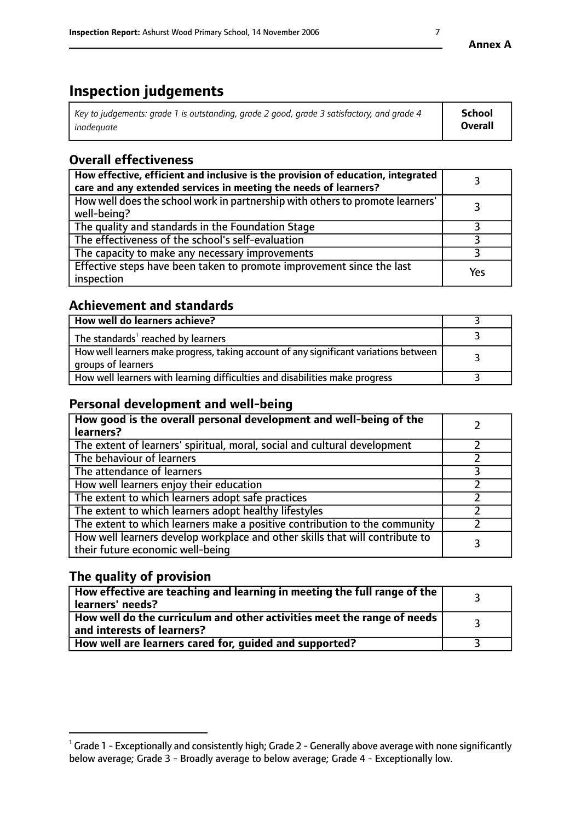# **Inspection judgements**

| Key to judgements: grade 1 is outstanding, grade 2 good, grade 3 satisfactory, and grade 4 | <b>School</b>  |
|--------------------------------------------------------------------------------------------|----------------|
| inadeauate                                                                                 | <b>Overall</b> |

# **Overall effectiveness**

| How effective, efficient and inclusive is the provision of education, integrated<br>care and any extended services in meeting the needs of learners? |     |
|------------------------------------------------------------------------------------------------------------------------------------------------------|-----|
| How well does the school work in partnership with others to promote learners'<br>well-being?                                                         |     |
| The quality and standards in the Foundation Stage                                                                                                    |     |
| The effectiveness of the school's self-evaluation                                                                                                    |     |
| The capacity to make any necessary improvements                                                                                                      |     |
| Effective steps have been taken to promote improvement since the last<br>inspection                                                                  | Yes |

## **Achievement and standards**

| How well do learners achieve?                                                                               |  |
|-------------------------------------------------------------------------------------------------------------|--|
| The standards <sup>1</sup> reached by learners                                                              |  |
| How well learners make progress, taking account of any significant variations between<br>groups of learners |  |
| How well learners with learning difficulties and disabilities make progress                                 |  |

# **Personal development and well-being**

| How good is the overall personal development and well-being of the<br>learners?                                  |  |
|------------------------------------------------------------------------------------------------------------------|--|
| The extent of learners' spiritual, moral, social and cultural development                                        |  |
| The behaviour of learners                                                                                        |  |
| The attendance of learners                                                                                       |  |
| How well learners enjoy their education                                                                          |  |
| The extent to which learners adopt safe practices                                                                |  |
| The extent to which learners adopt healthy lifestyles                                                            |  |
| The extent to which learners make a positive contribution to the community                                       |  |
| How well learners develop workplace and other skills that will contribute to<br>their future economic well-being |  |

# **The quality of provision**

| $\Box$ How effective are teaching and learning in meeting the full range of the $\Box$<br>  learners' needs?        |  |
|---------------------------------------------------------------------------------------------------------------------|--|
| $\mid$ How well do the curriculum and other activities meet the range of needs<br>$\mid$ and interests of learners? |  |
| How well are learners cared for, guided and supported?                                                              |  |

 $^1$  Grade 1 - Exceptionally and consistently high; Grade 2 - Generally above average with none significantly below average; Grade 3 - Broadly average to below average; Grade 4 - Exceptionally low.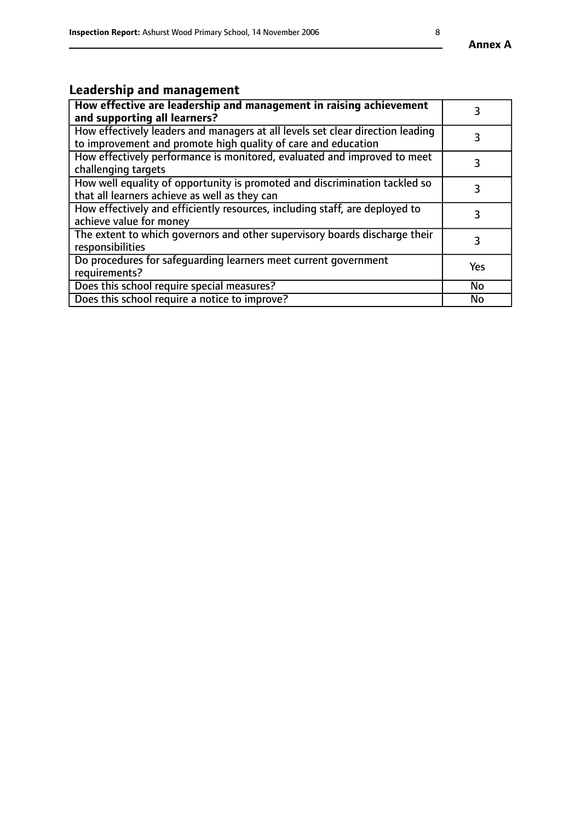# **Leadership and management**

| How effective are leadership and management in raising achievement<br>and supporting all learners?                                              |           |
|-------------------------------------------------------------------------------------------------------------------------------------------------|-----------|
| How effectively leaders and managers at all levels set clear direction leading<br>to improvement and promote high quality of care and education |           |
| How effectively performance is monitored, evaluated and improved to meet<br>challenging targets                                                 | 3         |
| How well equality of opportunity is promoted and discrimination tackled so<br>that all learners achieve as well as they can                     |           |
| How effectively and efficiently resources, including staff, are deployed to<br>achieve value for money                                          | 3         |
| The extent to which governors and other supervisory boards discharge their<br>responsibilities                                                  | 3         |
| Do procedures for safequarding learners meet current government<br>requirements?                                                                | Yes       |
| Does this school require special measures?                                                                                                      | No        |
| Does this school require a notice to improve?                                                                                                   | <b>No</b> |